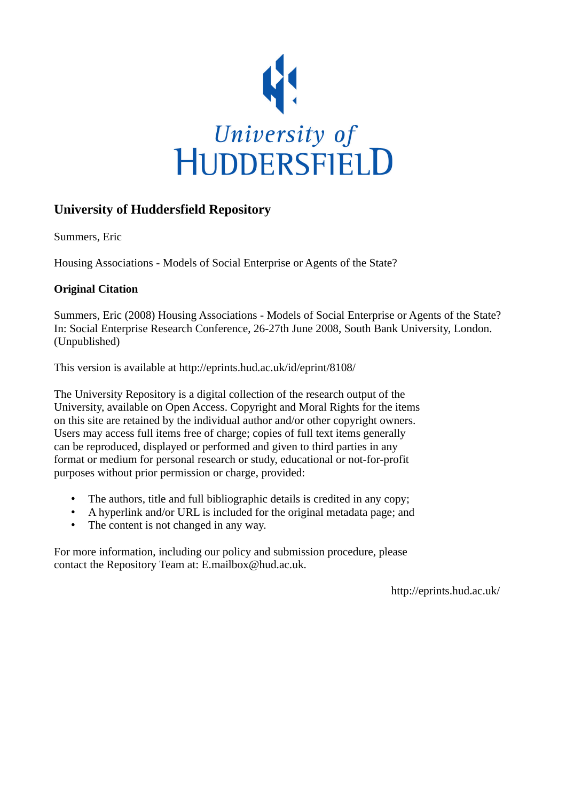

# **University of Huddersfield Repository**

Summers, Eric

Housing Associations - Models of Social Enterprise or Agents of the State?

# **Original Citation**

Summers, Eric (2008) Housing Associations - Models of Social Enterprise or Agents of the State? In: Social Enterprise Research Conference, 26-27th June 2008, South Bank University, London. (Unpublished)

This version is available at http://eprints.hud.ac.uk/id/eprint/8108/

The University Repository is a digital collection of the research output of the University, available on Open Access. Copyright and Moral Rights for the items on this site are retained by the individual author and/or other copyright owners. Users may access full items free of charge; copies of full text items generally can be reproduced, displayed or performed and given to third parties in any format or medium for personal research or study, educational or not-for-profit purposes without prior permission or charge, provided:

- The authors, title and full bibliographic details is credited in any copy;
- A hyperlink and/or URL is included for the original metadata page; and
- The content is not changed in any way.

For more information, including our policy and submission procedure, please contact the Repository Team at: E.mailbox@hud.ac.uk.

http://eprints.hud.ac.uk/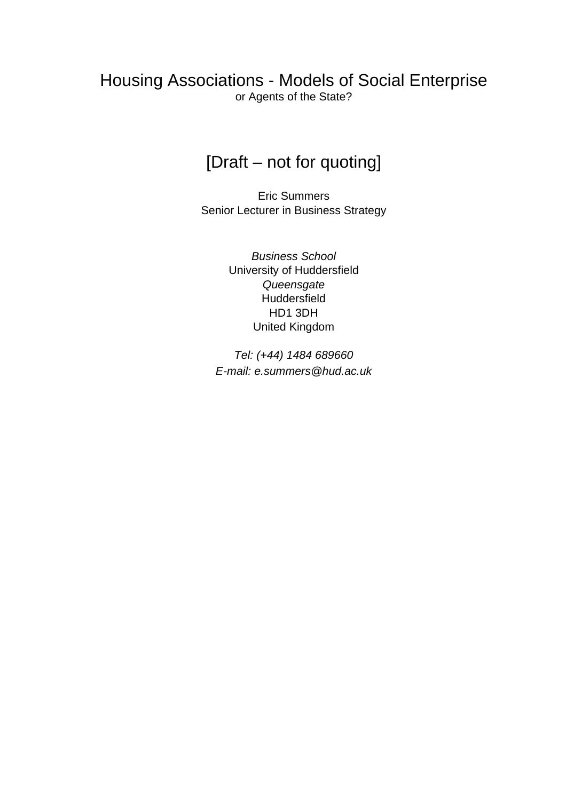# Housing Associations - Models of Social Enterprise or Agents of the State?

# [Draft – not for quoting]

Eric Summers Senior Lecturer in Business Strategy

> Business School University of Huddersfield **Queensgate Huddersfield** HD1 3DH United Kingdom

Tel: (+44) 1484 689660 E-mail: e.summers@hud.ac.uk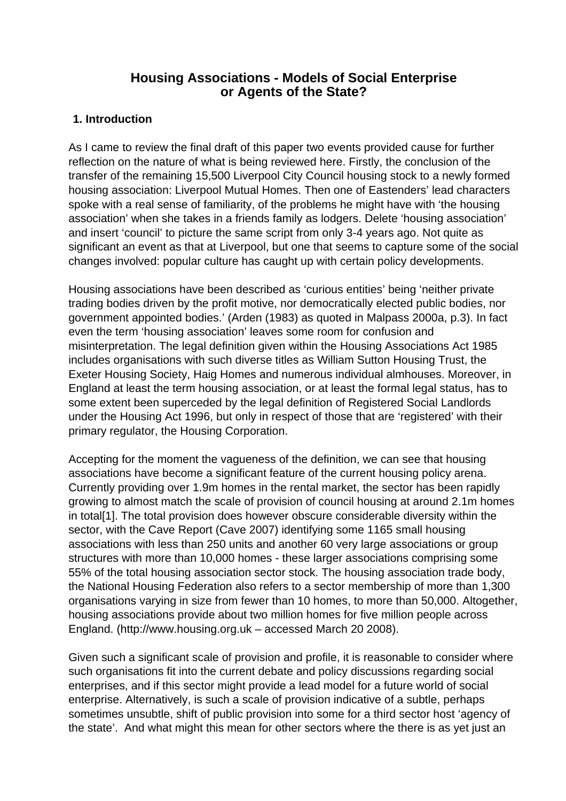# **Housing Associations - Models of Social Enterprise or Agents of the State?**

### **1. Introduction**

As I came to review the final draft of this paper two events provided cause for further reflection on the nature of what is being reviewed here. Firstly, the conclusion of the transfer of the remaining 15,500 Liverpool City Council housing stock to a newly formed housing association: Liverpool Mutual Homes. Then one of Eastenders' lead characters spoke with a real sense of familiarity, of the problems he might have with 'the housing association' when she takes in a friends family as lodgers. Delete 'housing association' and insert 'council' to picture the same script from only 3-4 years ago. Not quite as significant an event as that at Liverpool, but one that seems to capture some of the social changes involved: popular culture has caught up with certain policy developments.

Housing associations have been described as 'curious entities' being 'neither private trading bodies driven by the profit motive, nor democratically elected public bodies, nor government appointed bodies.' (Arden (1983) as quoted in Malpass 2000a, p.3). In fact even the term 'housing association' leaves some room for confusion and misinterpretation. The legal definition given within the Housing Associations Act 1985 includes organisations with such diverse titles as William Sutton Housing Trust, the Exeter Housing Society, Haig Homes and numerous individual almhouses. Moreover, in England at least the term housing association, or at least the formal legal status, has to some extent been superceded by the legal definition of Registered Social Landlords under the Housing Act 1996, but only in respect of those that are 'registered' with their primary regulator, the Housing Corporation.

Accepting for the moment the vagueness of the definition, we can see that housing associations have become a significant feature of the current housing policy arena. Currently providing over 1.9m homes in the rental market, the sector has been rapidly growing to almost match the scale of provision of council housing at around 2.1m homes in total[1]. The total provision does however obscure considerable diversity within the sector, with the Cave Report (Cave 2007) identifying some 1165 small housing associations with less than 250 units and another 60 very large associations or group structures with more than 10,000 homes - these larger associations comprising some 55% of the total housing association sector stock. The housing association trade body, the National Housing Federation also refers to a sector membership of more than 1,300 organisations varying in size from fewer than 10 homes, to more than 50,000. Altogether, housing associations provide about two million homes for five million people across England. (http://www.housing.org.uk – accessed March 20 2008).

Given such a significant scale of provision and profile, it is reasonable to consider where such organisations fit into the current debate and policy discussions regarding social enterprises, and if this sector might provide a lead model for a future world of social enterprise. Alternatively, is such a scale of provision indicative of a subtle, perhaps sometimes unsubtle, shift of public provision into some for a third sector host 'agency of the state'. And what might this mean for other sectors where the there is as yet just an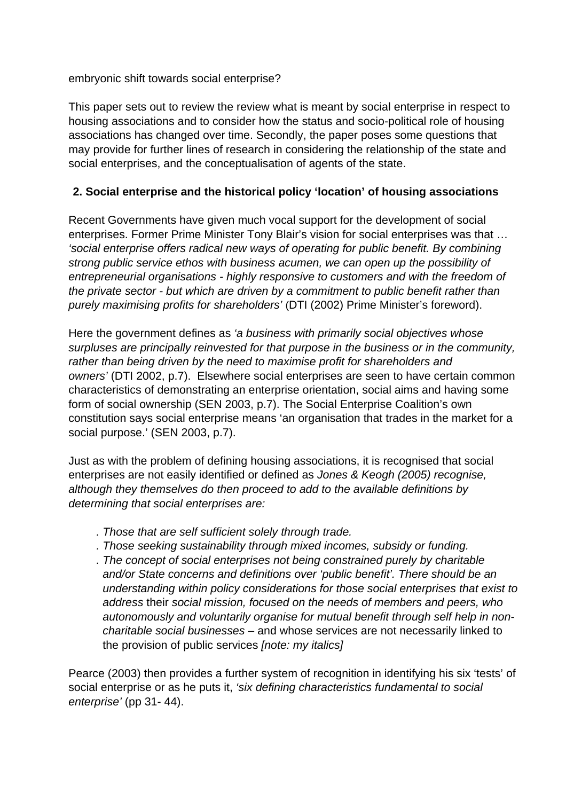embryonic shift towards social enterprise?

This paper sets out to review the review what is meant by social enterprise in respect to housing associations and to consider how the status and socio-political role of housing associations has changed over time. Secondly, the paper poses some questions that may provide for further lines of research in considering the relationship of the state and social enterprises, and the conceptualisation of agents of the state.

# **2. Social enterprise and the historical policy 'location' of housing associations**

Recent Governments have given much vocal support for the development of social enterprises. Former Prime Minister Tony Blair's vision for social enterprises was that … 'social enterprise offers radical new ways of operating for public benefit. By combining strong public service ethos with business acumen, we can open up the possibility of entrepreneurial organisations - highly responsive to customers and with the freedom of the private sector - but which are driven by a commitment to public benefit rather than purely maximising profits for shareholders' (DTI (2002) Prime Minister's foreword).

Here the government defines as 'a business with primarily social objectives whose surpluses are principally reinvested for that purpose in the business or in the community, rather than being driven by the need to maximise profit for shareholders and owners' (DTI 2002, p.7). Elsewhere social enterprises are seen to have certain common characteristics of demonstrating an enterprise orientation, social aims and having some form of social ownership (SEN 2003, p.7). The Social Enterprise Coalition's own constitution says social enterprise means 'an organisation that trades in the market for a social purpose.' (SEN 2003, p.7).

Just as with the problem of defining housing associations, it is recognised that social enterprises are not easily identified or defined as Jones & Keogh (2005) recognise, although they themselves do then proceed to add to the available definitions by determining that social enterprises are:

- . Those that are self sufficient solely through trade.
- . Those seeking sustainability through mixed incomes, subsidy or funding.
- . The concept of social enterprises not being constrained purely by charitable and/or State concerns and definitions over 'public benefit'. There should be an understanding within policy considerations for those social enterprises that exist to address their social mission, focused on the needs of members and peers, who autonomously and voluntarily organise for mutual benefit through self help in noncharitable social businesses – and whose services are not necessarily linked to the provision of public services *[note: my italics]*

Pearce (2003) then provides a further system of recognition in identifying his six 'tests' of social enterprise or as he puts it, 'six defining characteristics fundamental to social enterprise' (pp 31- 44).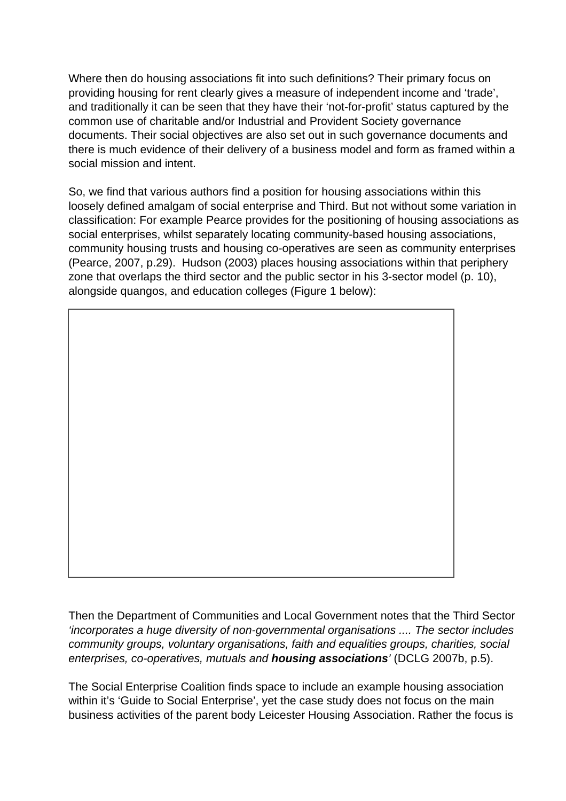Where then do housing associations fit into such definitions? Their primary focus on providing housing for rent clearly gives a measure of independent income and 'trade', and traditionally it can be seen that they have their 'not-for-profit' status captured by the common use of charitable and/or Industrial and Provident Society governance documents. Their social objectives are also set out in such governance documents and there is much evidence of their delivery of a business model and form as framed within a social mission and intent.

So, we find that various authors find a position for housing associations within this loosely defined amalgam of social enterprise and Third. But not without some variation in classification: For example Pearce provides for the positioning of housing associations as social enterprises, whilst separately locating community-based housing associations, community housing trusts and housing co-operatives are seen as community enterprises (Pearce, 2007, p.29). Hudson (2003) places housing associations within that periphery zone that overlaps the third sector and the public sector in his 3-sector model (p. 10), alongside quangos, and education colleges (Figure 1 below):

Then the Department of Communities and Local Government notes that the Third Sector 'incorporates a huge diversity of non-governmental organisations .... The sector includes community groups, voluntary organisations, faith and equalities groups, charities, social enterprises, co-operatives, mutuals and **housing associations**' (DCLG 2007b, p.5).

The Social Enterprise Coalition finds space to include an example housing association within it's 'Guide to Social Enterprise', yet the case study does not focus on the main business activities of the parent body Leicester Housing Association. Rather the focus is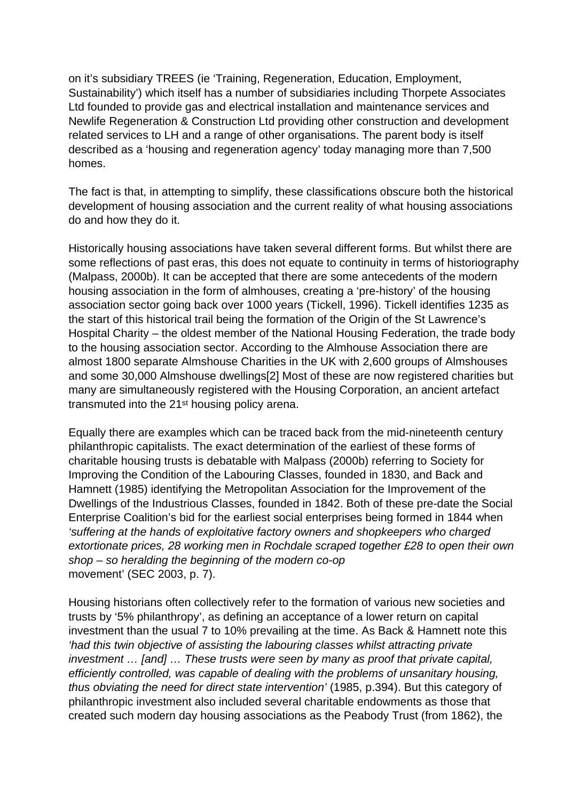on it's subsidiary TREES (ie 'Training, Regeneration, Education, Employment, Sustainability') which itself has a number of subsidiaries including Thorpete Associates Ltd founded to provide gas and electrical installation and maintenance services and Newlife Regeneration & Construction Ltd providing other construction and development related services to LH and a range of other organisations. The parent body is itself described as a 'housing and regeneration agency' today managing more than 7,500 homes.

The fact is that, in attempting to simplify, these classifications obscure both the historical development of housing association and the current reality of what housing associations do and how they do it.

Historically housing associations have taken several different forms. But whilst there are some reflections of past eras, this does not equate to continuity in terms of historiography (Malpass, 2000b). It can be accepted that there are some antecedents of the modern housing association in the form of almhouses, creating a 'pre-history' of the housing association sector going back over 1000 years (Tickell, 1996). Tickell identifies 1235 as the start of this historical trail being the formation of the Origin of the St Lawrence's Hospital Charity – the oldest member of the National Housing Federation, the trade body to the housing association sector. According to the Almhouse Association there are almost 1800 separate Almshouse Charities in the UK with 2,600 groups of Almshouses and some 30,000 Almshouse dwellings[2] Most of these are now registered charities but many are simultaneously registered with the Housing Corporation, an ancient artefact transmuted into the 21st housing policy arena.

Equally there are examples which can be traced back from the mid-nineteenth century philanthropic capitalists. The exact determination of the earliest of these forms of charitable housing trusts is debatable with Malpass (2000b) referring to Society for Improving the Condition of the Labouring Classes, founded in 1830, and Back and Hamnett (1985) identifying the Metropolitan Association for the Improvement of the Dwellings of the Industrious Classes, founded in 1842. Both of these pre-date the Social Enterprise Coalition's bid for the earliest social enterprises being formed in 1844 when 'suffering at the hands of exploitative factory owners and shopkeepers who charged extortionate prices, 28 working men in Rochdale scraped together £28 to open their own shop – so heralding the beginning of the modern co-op movement' (SEC 2003, p. 7).

Housing historians often collectively refer to the formation of various new societies and trusts by '5% philanthropy', as defining an acceptance of a lower return on capital investment than the usual 7 to 10% prevailing at the time. As Back & Hamnett note this 'had this twin objective of assisting the labouring classes whilst attracting private investment … [and] … These trusts were seen by many as proof that private capital, efficiently controlled, was capable of dealing with the problems of unsanitary housing, thus obviating the need for direct state intervention' (1985, p.394). But this category of philanthropic investment also included several charitable endowments as those that created such modern day housing associations as the Peabody Trust (from 1862), the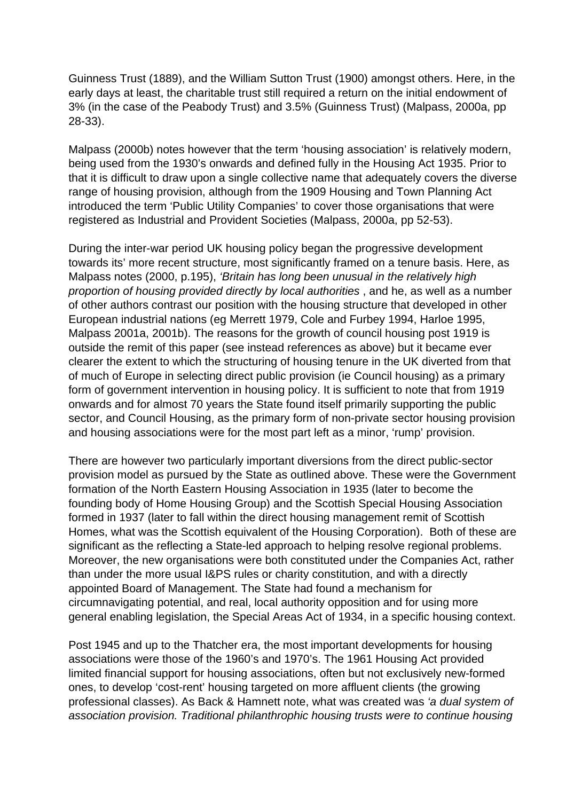Guinness Trust (1889), and the William Sutton Trust (1900) amongst others. Here, in the early days at least, the charitable trust still required a return on the initial endowment of 3% (in the case of the Peabody Trust) and 3.5% (Guinness Trust) (Malpass, 2000a, pp 28-33).

Malpass (2000b) notes however that the term 'housing association' is relatively modern, being used from the 1930's onwards and defined fully in the Housing Act 1935. Prior to that it is difficult to draw upon a single collective name that adequately covers the diverse range of housing provision, although from the 1909 Housing and Town Planning Act introduced the term 'Public Utility Companies' to cover those organisations that were registered as Industrial and Provident Societies (Malpass, 2000a, pp 52-53).

During the inter-war period UK housing policy began the progressive development towards its' more recent structure, most significantly framed on a tenure basis. Here, as Malpass notes (2000, p.195), 'Britain has long been unusual in the relatively high proportion of housing provided directly by local authorities , and he, as well as a number of other authors contrast our position with the housing structure that developed in other European industrial nations (eg Merrett 1979, Cole and Furbey 1994, Harloe 1995, Malpass 2001a, 2001b). The reasons for the growth of council housing post 1919 is outside the remit of this paper (see instead references as above) but it became ever clearer the extent to which the structuring of housing tenure in the UK diverted from that of much of Europe in selecting direct public provision (ie Council housing) as a primary form of government intervention in housing policy. It is sufficient to note that from 1919 onwards and for almost 70 years the State found itself primarily supporting the public sector, and Council Housing, as the primary form of non-private sector housing provision and housing associations were for the most part left as a minor, 'rump' provision.

There are however two particularly important diversions from the direct public-sector provision model as pursued by the State as outlined above. These were the Government formation of the North Eastern Housing Association in 1935 (later to become the founding body of Home Housing Group) and the Scottish Special Housing Association formed in 1937 (later to fall within the direct housing management remit of Scottish Homes, what was the Scottish equivalent of the Housing Corporation). Both of these are significant as the reflecting a State-led approach to helping resolve regional problems. Moreover, the new organisations were both constituted under the Companies Act, rather than under the more usual I&PS rules or charity constitution, and with a directly appointed Board of Management. The State had found a mechanism for circumnavigating potential, and real, local authority opposition and for using more general enabling legislation, the Special Areas Act of 1934, in a specific housing context.

Post 1945 and up to the Thatcher era, the most important developments for housing associations were those of the 1960's and 1970's. The 1961 Housing Act provided limited financial support for housing associations, often but not exclusively new-formed ones, to develop 'cost-rent' housing targeted on more affluent clients (the growing professional classes). As Back & Hamnett note, what was created was 'a dual system of association provision. Traditional philanthrophic housing trusts were to continue housing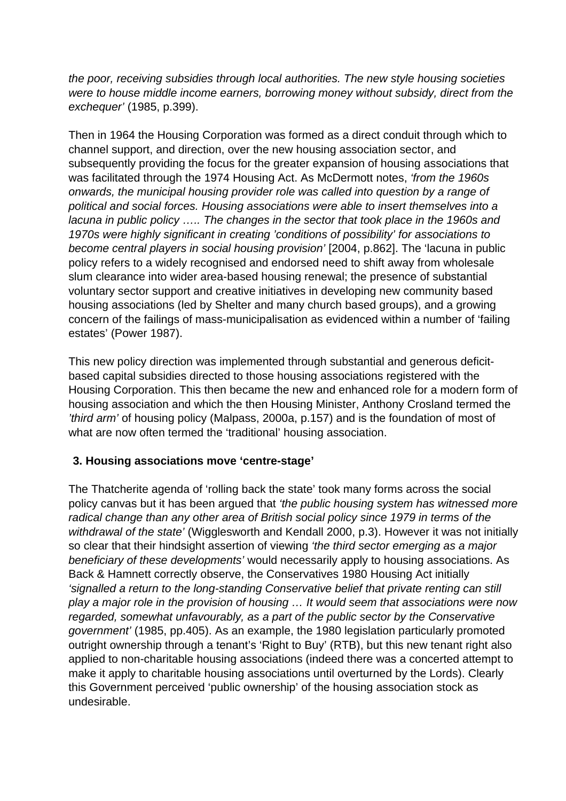the poor, receiving subsidies through local authorities. The new style housing societies were to house middle income earners, borrowing money without subsidy, direct from the exchequer' (1985, p.399).

Then in 1964 the Housing Corporation was formed as a direct conduit through which to channel support, and direction, over the new housing association sector, and subsequently providing the focus for the greater expansion of housing associations that was facilitated through the 1974 Housing Act. As McDermott notes, 'from the 1960s onwards, the municipal housing provider role was called into question by a range of political and social forces. Housing associations were able to insert themselves into a lacuna in public policy ….. The changes in the sector that took place in the 1960s and 1970s were highly significant in creating 'conditions of possibility' for associations to become central players in social housing provision' [2004, p.862]. The 'lacuna in public policy refers to a widely recognised and endorsed need to shift away from wholesale slum clearance into wider area-based housing renewal; the presence of substantial voluntary sector support and creative initiatives in developing new community based housing associations (led by Shelter and many church based groups), and a growing concern of the failings of mass-municipalisation as evidenced within a number of 'failing estates' (Power 1987).

This new policy direction was implemented through substantial and generous deficitbased capital subsidies directed to those housing associations registered with the Housing Corporation. This then became the new and enhanced role for a modern form of housing association and which the then Housing Minister, Anthony Crosland termed the 'third arm' of housing policy (Malpass, 2000a, p.157) and is the foundation of most of what are now often termed the 'traditional' housing association.

# **3. Housing associations move 'centre-stage'**

The Thatcherite agenda of 'rolling back the state' took many forms across the social policy canvas but it has been argued that 'the public housing system has witnessed more radical change than any other area of British social policy since 1979 in terms of the withdrawal of the state' (Wigglesworth and Kendall 2000, p.3). However it was not initially so clear that their hindsight assertion of viewing 'the third sector emerging as a major beneficiary of these developments' would necessarily apply to housing associations. As Back & Hamnett correctly observe, the Conservatives 1980 Housing Act initially 'signalled a return to the long-standing Conservative belief that private renting can still play a major role in the provision of housing … It would seem that associations were now regarded, somewhat unfavourably, as a part of the public sector by the Conservative government' (1985, pp.405). As an example, the 1980 legislation particularly promoted outright ownership through a tenant's 'Right to Buy' (RTB), but this new tenant right also applied to non-charitable housing associations (indeed there was a concerted attempt to make it apply to charitable housing associations until overturned by the Lords). Clearly this Government perceived 'public ownership' of the housing association stock as undesirable.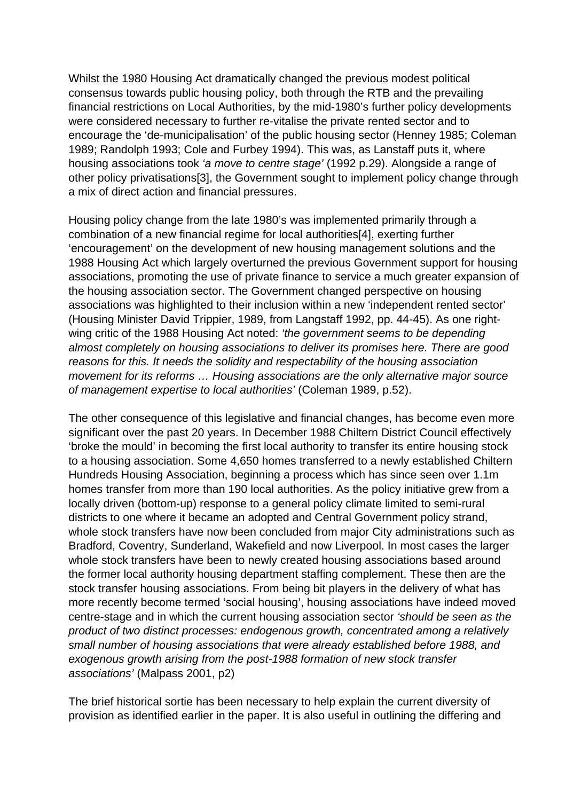Whilst the 1980 Housing Act dramatically changed the previous modest political consensus towards public housing policy, both through the RTB and the prevailing financial restrictions on Local Authorities, by the mid-1980's further policy developments were considered necessary to further re-vitalise the private rented sector and to encourage the 'de-municipalisation' of the public housing sector (Henney 1985; Coleman 1989; Randolph 1993; Cole and Furbey 1994). This was, as Lanstaff puts it, where housing associations took 'a move to centre stage' (1992 p.29). Alongside a range of other policy privatisations[3], the Government sought to implement policy change through a mix of direct action and financial pressures.

Housing policy change from the late 1980's was implemented primarily through a combination of a new financial regime for local authorities[4], exerting further 'encouragement' on the development of new housing management solutions and the 1988 Housing Act which largely overturned the previous Government support for housing associations, promoting the use of private finance to service a much greater expansion of the housing association sector. The Government changed perspective on housing associations was highlighted to their inclusion within a new 'independent rented sector' (Housing Minister David Trippier, 1989, from Langstaff 1992, pp. 44-45). As one rightwing critic of the 1988 Housing Act noted: 'the government seems to be depending almost completely on housing associations to deliver its promises here. There are good reasons for this. It needs the solidity and respectability of the housing association movement for its reforms … Housing associations are the only alternative major source of management expertise to local authorities' (Coleman 1989, p.52).

The other consequence of this legislative and financial changes, has become even more significant over the past 20 years. In December 1988 Chiltern District Council effectively 'broke the mould' in becoming the first local authority to transfer its entire housing stock to a housing association. Some 4,650 homes transferred to a newly established Chiltern Hundreds Housing Association, beginning a process which has since seen over 1.1m homes transfer from more than 190 local authorities. As the policy initiative grew from a locally driven (bottom-up) response to a general policy climate limited to semi-rural districts to one where it became an adopted and Central Government policy strand, whole stock transfers have now been concluded from major City administrations such as Bradford, Coventry, Sunderland, Wakefield and now Liverpool. In most cases the larger whole stock transfers have been to newly created housing associations based around the former local authority housing department staffing complement. These then are the stock transfer housing associations. From being bit players in the delivery of what has more recently become termed 'social housing', housing associations have indeed moved centre-stage and in which the current housing association sector 'should be seen as the product of two distinct processes: endogenous growth, concentrated among a relatively small number of housing associations that were already established before 1988, and exogenous growth arising from the post-1988 formation of new stock transfer associations' (Malpass 2001, p2)

The brief historical sortie has been necessary to help explain the current diversity of provision as identified earlier in the paper. It is also useful in outlining the differing and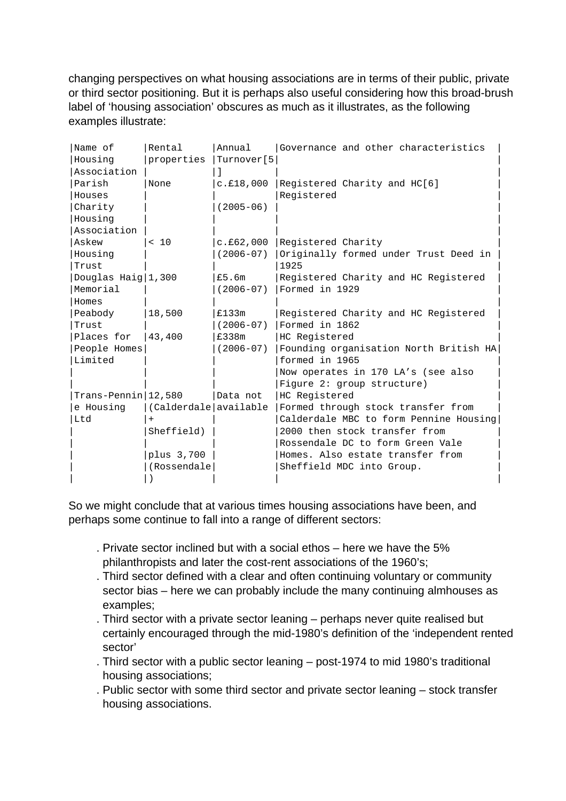changing perspectives on what housing associations are in terms of their public, private or third sector positioning. But it is perhaps also useful considering how this broad-brush label of 'housing association' obscures as much as it illustrates, as the following examples illustrate:

| Name of                 | Rental                | Annual        | Governance and other characteristics   |
|-------------------------|-----------------------|---------------|----------------------------------------|
| Housing                 | properties            | Turnover[5    |                                        |
| Association             |                       |               |                                        |
| Parish                  | None                  | c.f18,000     | Registered Charity and HC[6]           |
| Houses                  |                       |               | Registered                             |
| Charity                 |                       | $(2005 - 06)$ |                                        |
| Housing                 |                       |               |                                        |
| Association             |                       |               |                                        |
| Askew                   | < 10                  | c.£62,000     | Registered Charity                     |
| Housing                 |                       | $(2006 - 07)$ | Originally formed under Trust Deed in  |
| Trust                   |                       |               | 1925                                   |
| Douglas Haig $ 1,300$   |                       | £5.6m         | Registered Charity and HC Registered   |
| Memorial                |                       | $(2006 - 07)$ | Formed in 1929                         |
| Homes                   |                       |               |                                        |
| Peabody                 | 18,500                | £133m         | Registered Charity and HC Registered   |
| Trust                   |                       | $(2006 - 07)$ | Formed in 1862                         |
| Places for              | 43,400                | £338m         | HC Registered                          |
| People Homes            |                       | $(2006 - 07)$ | Founding organisation North British HA |
| Limited                 |                       |               | formed in 1965                         |
|                         |                       |               | Now operates in 170 LA's (see also     |
|                         |                       |               | Figure 2: group structure)             |
| $Trans-Pennin   12,580$ |                       | Data not      | HC Registered                          |
| e Housing               | (Calderdale available |               | Formed through stock transfer from     |
| Ltd                     |                       |               | Calderdale MBC to form Pennine Housing |
|                         | Sheffield)            |               | 2000 then stock transfer from          |
|                         |                       |               | Rossendale DC to form Green Vale       |
|                         | plus 3,700            |               | Homes. Also estate transfer from       |
|                         | (Rossendale)          |               | Sheffield MDC into Group.              |
|                         |                       |               |                                        |

So we might conclude that at various times housing associations have been, and perhaps some continue to fall into a range of different sectors:

- . Private sector inclined but with a social ethos here we have the 5% philanthropists and later the cost-rent associations of the 1960's;
- . Third sector defined with a clear and often continuing voluntary or community sector bias – here we can probably include the many continuing almhouses as examples;
- . Third sector with a private sector leaning perhaps never quite realised but certainly encouraged through the mid-1980's definition of the 'independent rented sector'
- . Third sector with a public sector leaning post-1974 to mid 1980's traditional housing associations;
- . Public sector with some third sector and private sector leaning stock transfer housing associations.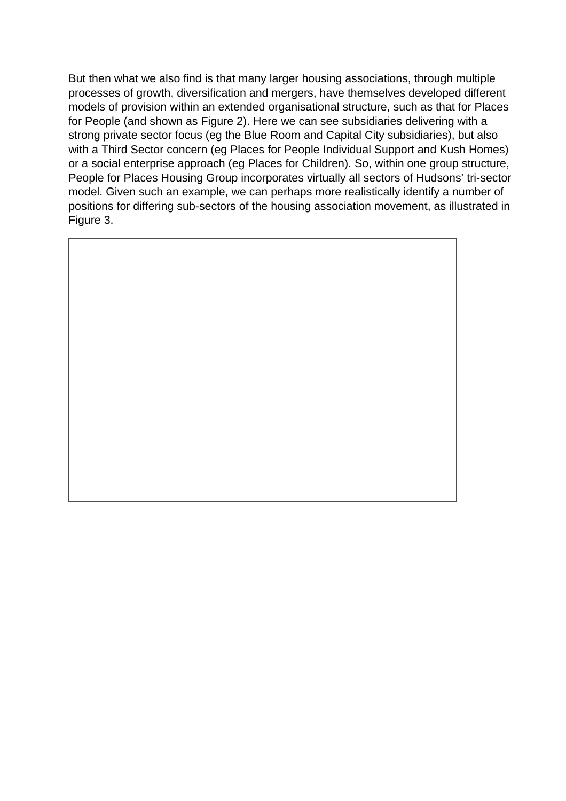But then what we also find is that many larger housing associations, through multiple processes of growth, diversification and mergers, have themselves developed different models of provision within an extended organisational structure, such as that for Places for People (and shown as Figure 2). Here we can see subsidiaries delivering with a strong private sector focus (eg the Blue Room and Capital City subsidiaries), but also with a Third Sector concern (eg Places for People Individual Support and Kush Homes) or a social enterprise approach (eg Places for Children). So, within one group structure, People for Places Housing Group incorporates virtually all sectors of Hudsons' tri-sector model. Given such an example, we can perhaps more realistically identify a number of positions for differing sub-sectors of the housing association movement, as illustrated in Figure 3.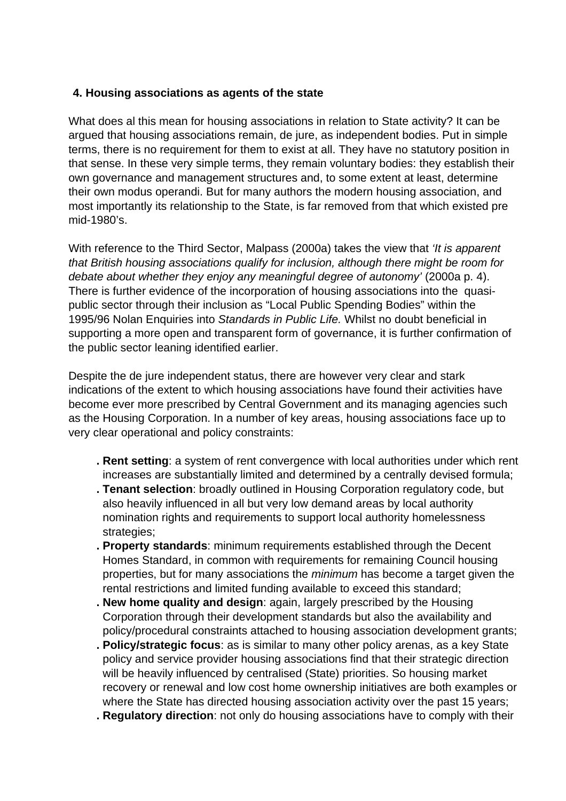# **4. Housing associations as agents of the state**

What does al this mean for housing associations in relation to State activity? It can be argued that housing associations remain, de jure, as independent bodies. Put in simple terms, there is no requirement for them to exist at all. They have no statutory position in that sense. In these very simple terms, they remain voluntary bodies: they establish their own governance and management structures and, to some extent at least, determine their own modus operandi. But for many authors the modern housing association, and most importantly its relationship to the State, is far removed from that which existed pre mid-1980's.

With reference to the Third Sector, Malpass (2000a) takes the view that 'It is apparent that British housing associations qualify for inclusion, although there might be room for debate about whether they enjoy any meaningful degree of autonomy' (2000a p. 4). There is further evidence of the incorporation of housing associations into the quasipublic sector through their inclusion as "Local Public Spending Bodies" within the 1995/96 Nolan Enquiries into Standards in Public Life. Whilst no doubt beneficial in supporting a more open and transparent form of governance, it is further confirmation of the public sector leaning identified earlier.

Despite the de jure independent status, there are however very clear and stark indications of the extent to which housing associations have found their activities have become ever more prescribed by Central Government and its managing agencies such as the Housing Corporation. In a number of key areas, housing associations face up to very clear operational and policy constraints:

- **. Rent setting**: a system of rent convergence with local authorities under which rent increases are substantially limited and determined by a centrally devised formula;
- **. Tenant selection**: broadly outlined in Housing Corporation regulatory code, but also heavily influenced in all but very low demand areas by local authority nomination rights and requirements to support local authority homelessness strategies;
- **. Property standards**: minimum requirements established through the Decent Homes Standard, in common with requirements for remaining Council housing properties, but for many associations the minimum has become a target given the rental restrictions and limited funding available to exceed this standard;
- **. New home quality and design**: again, largely prescribed by the Housing Corporation through their development standards but also the availability and policy/procedural constraints attached to housing association development grants;
- **. Policy/strategic focus**: as is similar to many other policy arenas, as a key State policy and service provider housing associations find that their strategic direction will be heavily influenced by centralised (State) priorities. So housing market recovery or renewal and low cost home ownership initiatives are both examples or where the State has directed housing association activity over the past 15 years;
- **. Regulatory direction**: not only do housing associations have to comply with their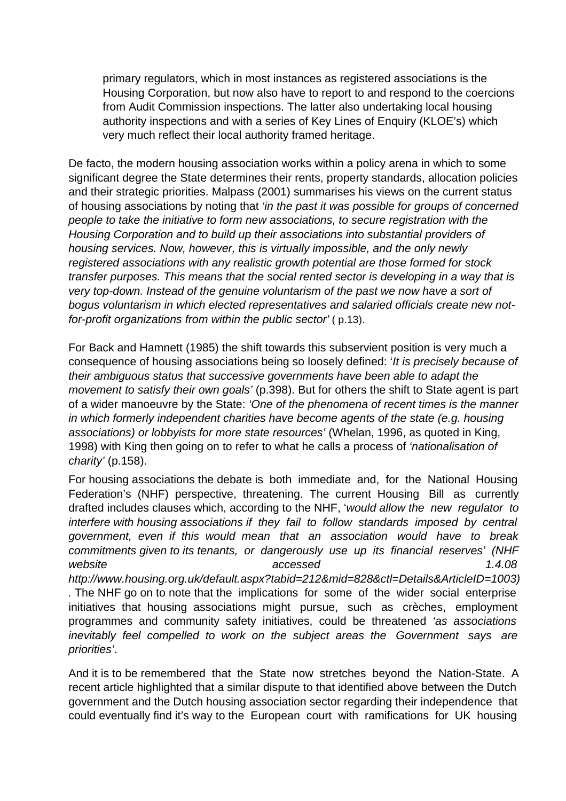primary regulators, which in most instances as registered associations is the Housing Corporation, but now also have to report to and respond to the coercions from Audit Commission inspections. The latter also undertaking local housing authority inspections and with a series of Key Lines of Enquiry (KLOE's) which very much reflect their local authority framed heritage.

De facto, the modern housing association works within a policy arena in which to some significant degree the State determines their rents, property standards, allocation policies and their strategic priorities. Malpass (2001) summarises his views on the current status of housing associations by noting that 'in the past it was possible for groups of concerned people to take the initiative to form new associations, to secure registration with the Housing Corporation and to build up their associations into substantial providers of housing services. Now, however, this is virtually impossible, and the only newly registered associations with any realistic growth potential are those formed for stock transfer purposes. This means that the social rented sector is developing in a way that is very top-down. Instead of the genuine voluntarism of the past we now have a sort of bogus voluntarism in which elected representatives and salaried officials create new notfor-profit organizations from within the public sector' ( p.13).

For Back and Hamnett (1985) the shift towards this subservient position is very much a consequence of housing associations being so loosely defined: 'It is precisely because of their ambiguous status that successive governments have been able to adapt the movement to satisfy their own goals' (p.398). But for others the shift to State agent is part of a wider manoeuvre by the State: 'One of the phenomena of recent times is the manner in which formerly independent charities have become agents of the state (e.g. housing associations) or lobbyists for more state resources' (Whelan, 1996, as quoted in King, 1998) with King then going on to refer to what he calls a process of 'nationalisation of charity' (p.158).

For housing associations the debate is both immediate and, for the National Housing Federation's (NHF) perspective, threatening. The current Housing Bill as currently drafted includes clauses which, according to the NHF, 'would allow the new regulator to interfere with housing associations if they fail to follow standards imposed by central government, even if this would mean that an association would have to break commitments given to its tenants, or dangerously use up its financial reserves' (NHF website accessed and the matrix  $accessed$  accessed accessed and the  $1.4.08$ http://www.housing.org.uk/default.aspx?tabid=212&mid=828&ctl=Details&ArticleID=1003) . The NHF go on to note that the implications for some of the wider social enterprise initiatives that housing associations might pursue, such as crèches, employment programmes and community safety initiatives, could be threatened 'as associations inevitably feel compelled to work on the subject areas the Government says are priorities'.

And it is to be remembered that the State now stretches beyond the Nation-State. A recent article highlighted that a similar dispute to that identified above between the Dutch government and the Dutch housing association sector regarding their independence that could eventually find it's way to the European court with ramifications for UK housing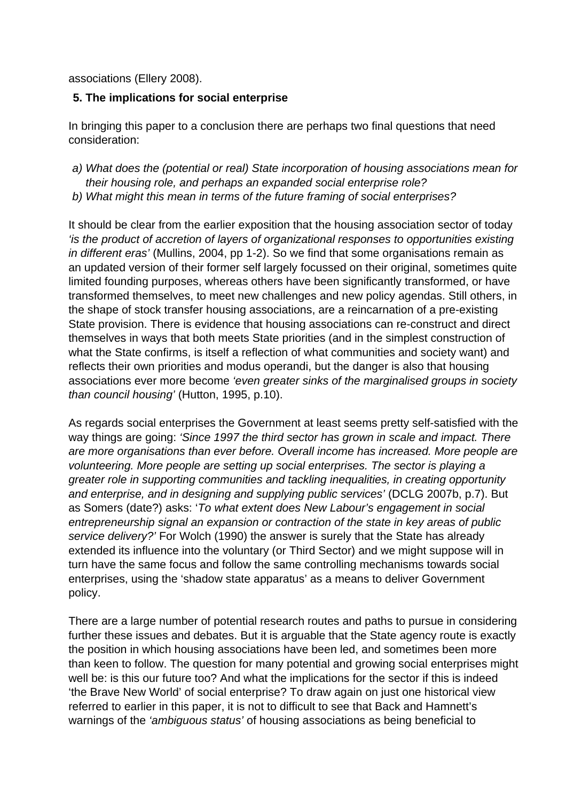associations (Ellery 2008).

### **5. The implications for social enterprise**

In bringing this paper to a conclusion there are perhaps two final questions that need consideration:

- a) What does the (potential or real) State incorporation of housing associations mean for their housing role, and perhaps an expanded social enterprise role?
- b) What might this mean in terms of the future framing of social enterprises?

It should be clear from the earlier exposition that the housing association sector of today 'is the product of accretion of layers of organizational responses to opportunities existing in different eras' (Mullins, 2004, pp 1-2). So we find that some organisations remain as an updated version of their former self largely focussed on their original, sometimes quite limited founding purposes, whereas others have been significantly transformed, or have transformed themselves, to meet new challenges and new policy agendas. Still others, in the shape of stock transfer housing associations, are a reincarnation of a pre-existing State provision. There is evidence that housing associations can re-construct and direct themselves in ways that both meets State priorities (and in the simplest construction of what the State confirms, is itself a reflection of what communities and society want) and reflects their own priorities and modus operandi, but the danger is also that housing associations ever more become 'even greater sinks of the marginalised groups in society than council housing' (Hutton, 1995, p.10).

As regards social enterprises the Government at least seems pretty self-satisfied with the way things are going: 'Since 1997 the third sector has grown in scale and impact. There are more organisations than ever before. Overall income has increased. More people are volunteering. More people are setting up social enterprises. The sector is playing a greater role in supporting communities and tackling inequalities, in creating opportunity and enterprise, and in designing and supplying public services' (DCLG 2007b, p.7). But as Somers (date?) asks: 'To what extent does New Labour's engagement in social entrepreneurship signal an expansion or contraction of the state in key areas of public service delivery?' For Wolch (1990) the answer is surely that the State has already extended its influence into the voluntary (or Third Sector) and we might suppose will in turn have the same focus and follow the same controlling mechanisms towards social enterprises, using the 'shadow state apparatus' as a means to deliver Government policy.

There are a large number of potential research routes and paths to pursue in considering further these issues and debates. But it is arguable that the State agency route is exactly the position in which housing associations have been led, and sometimes been more than keen to follow. The question for many potential and growing social enterprises might well be: is this our future too? And what the implications for the sector if this is indeed 'the Brave New World' of social enterprise? To draw again on just one historical view referred to earlier in this paper, it is not to difficult to see that Back and Hamnett's warnings of the 'ambiguous status' of housing associations as being beneficial to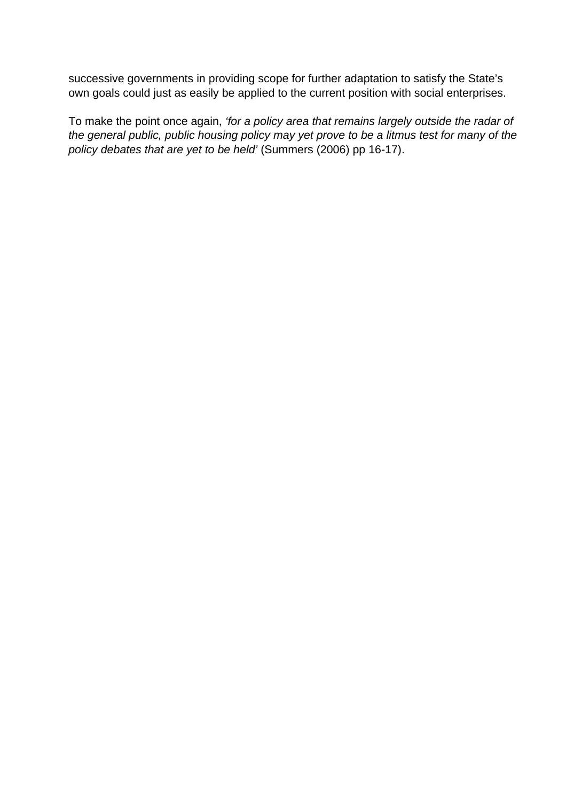successive governments in providing scope for further adaptation to satisfy the State's own goals could just as easily be applied to the current position with social enterprises.

To make the point once again, 'for a policy area that remains largely outside the radar of the general public, public housing policy may yet prove to be a litmus test for many of the policy debates that are yet to be held' (Summers (2006) pp 16-17).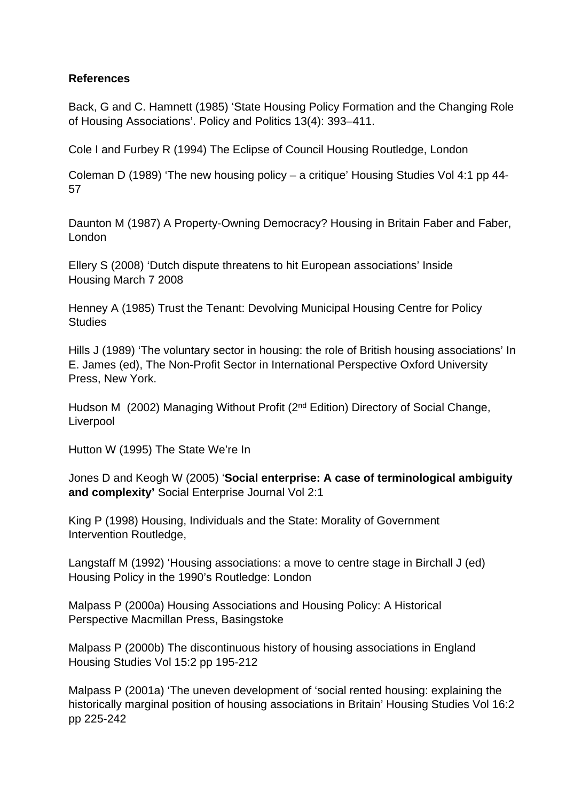### **References**

Back, G and C. Hamnett (1985) 'State Housing Policy Formation and the Changing Role of Housing Associations'. Policy and Politics 13(4): 393–411.

Cole I and Furbey R (1994) The Eclipse of Council Housing Routledge, London

Coleman D (1989) 'The new housing policy – a critique' Housing Studies Vol 4:1 pp 44- 57

Daunton M (1987) A Property-Owning Democracy? Housing in Britain Faber and Faber, London

Ellery S (2008) 'Dutch dispute threatens to hit European associations' Inside Housing March 7 2008

Henney A (1985) Trust the Tenant: Devolving Municipal Housing Centre for Policy **Studies** 

Hills J (1989) 'The voluntary sector in housing: the role of British housing associations' In E. James (ed), The Non-Profit Sector in International Perspective Oxford University Press, New York.

Hudson M (2002) Managing Without Profit (2nd Edition) Directory of Social Change, Liverpool

Hutton W (1995) The State We're In

Jones D and Keogh W (2005) '**Social enterprise: A case of terminological ambiguity and complexity'** Social Enterprise Journal Vol 2:1

King P (1998) Housing, Individuals and the State: Morality of Government Intervention Routledge,

Langstaff M (1992) 'Housing associations: a move to centre stage in Birchall J (ed) Housing Policy in the 1990's Routledge: London

Malpass P (2000a) Housing Associations and Housing Policy: A Historical Perspective Macmillan Press, Basingstoke

Malpass P (2000b) The discontinuous history of housing associations in England Housing Studies Vol 15:2 pp 195-212

Malpass P (2001a) 'The uneven development of 'social rented housing: explaining the historically marginal position of housing associations in Britain' Housing Studies Vol 16:2 pp 225-242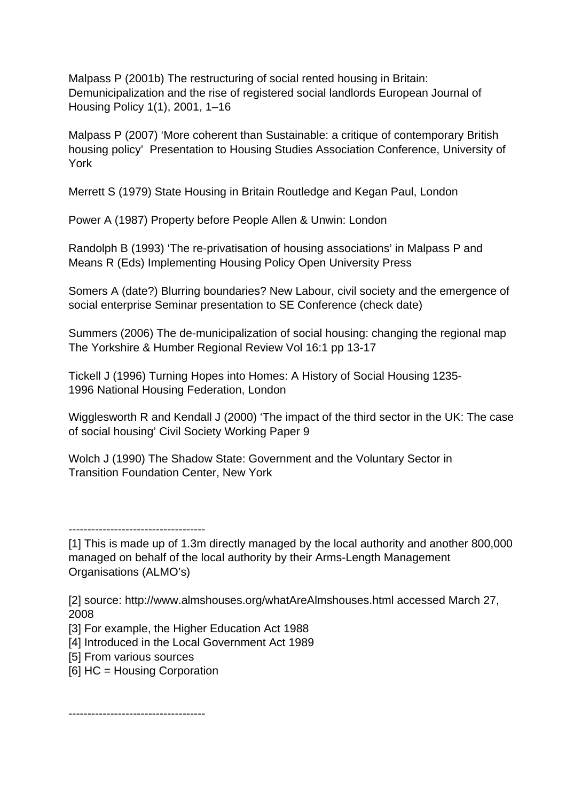Malpass P (2001b) The restructuring of social rented housing in Britain: Demunicipalization and the rise of registered social landlords European Journal of Housing Policy 1(1), 2001, 1–16

Malpass P (2007) 'More coherent than Sustainable: a critique of contemporary British housing policy' Presentation to Housing Studies Association Conference, University of York

Merrett S (1979) State Housing in Britain Routledge and Kegan Paul, London

Power A (1987) Property before People Allen & Unwin: London

Randolph B (1993) 'The re-privatisation of housing associations' in Malpass P and Means R (Eds) Implementing Housing Policy Open University Press

Somers A (date?) Blurring boundaries? New Labour, civil society and the emergence of social enterprise Seminar presentation to SE Conference (check date)

Summers (2006) The de-municipalization of social housing: changing the regional map The Yorkshire & Humber Regional Review Vol 16:1 pp 13-17

Tickell J (1996) Turning Hopes into Homes: A History of Social Housing 1235- 1996 National Housing Federation, London

Wigglesworth R and Kendall J (2000) 'The impact of the third sector in the UK: The case of social housing' Civil Society Working Paper 9

Wolch J (1990) The Shadow State: Government and the Voluntary Sector in Transition Foundation Center, New York

[4] Introduced in the Local Government Act 1989

------------------------------------

[6] HC = Housing Corporation

------------------------------------

<sup>[1]</sup> This is made up of 1.3m directly managed by the local authority and another 800,000 managed on behalf of the local authority by their Arms-Length Management Organisations (ALMO's)

<sup>[2]</sup> source: http://www.almshouses.org/whatAreAlmshouses.html accessed March 27, 2008

<sup>[3]</sup> For example, the Higher Education Act 1988

<sup>[5]</sup> From various sources